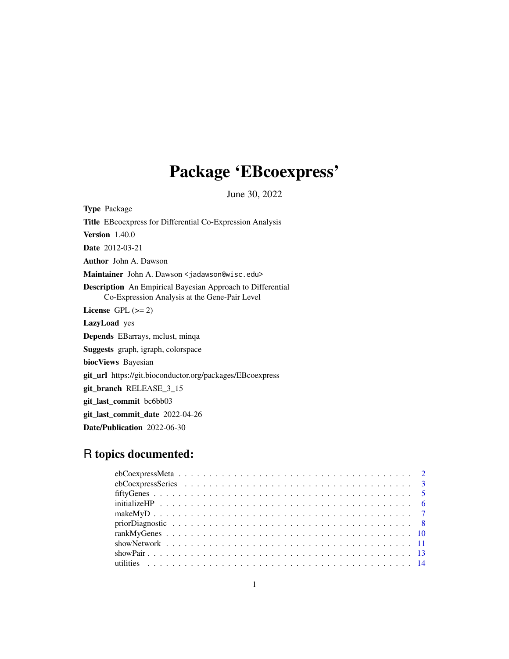## Package 'EBcoexpress'

June 30, 2022

Type Package Title EBcoexpress for Differential Co-Expression Analysis Version 1.40.0 Date 2012-03-21 Author John A. Dawson Maintainer John A. Dawson <jadawson@wisc.edu> Description An Empirical Bayesian Approach to Differential Co-Expression Analysis at the Gene-Pair Level License GPL  $(>= 2)$ LazyLoad yes Depends EBarrays, mclust, minqa Suggests graph, igraph, colorspace biocViews Bayesian git\_url https://git.bioconductor.org/packages/EBcoexpress git\_branch RELEASE\_3\_15 git\_last\_commit bc6bb03 git\_last\_commit\_date 2022-04-26 Date/Publication 2022-06-30

### R topics documented: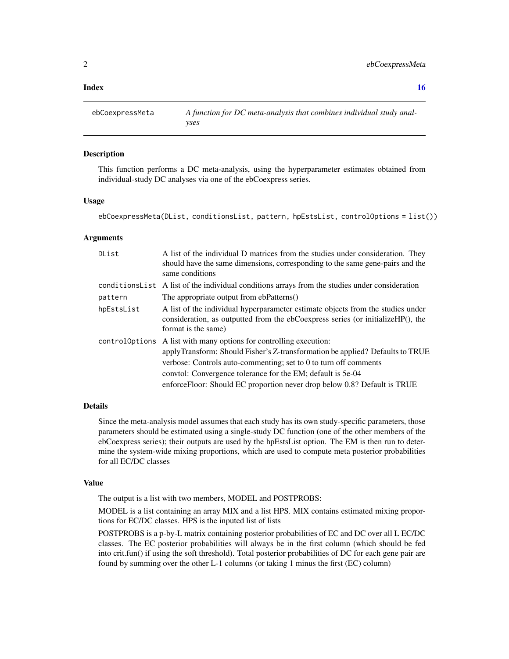#### <span id="page-1-0"></span>**Index** and the contract of the contract of the contract of the contract of the contract of the contract of the contract of the contract of the contract of the contract of the contract of the contract of the contract of th

ebCoexpressMeta *A function for DC meta-analysis that combines individual study analyses*

#### **Description**

This function performs a DC meta-analysis, using the hyperparameter estimates obtained from individual-study DC analyses via one of the ebCoexpress series.

#### Usage

ebCoexpressMeta(DList, conditionsList, pattern, hpEstsList, controlOptions = list())

#### Arguments

| DList      | A list of the individual D matrices from the studies under consideration. They<br>should have the same dimensions, corresponding to the same gene-pairs and the<br>same conditions                                                                                                                                                                                 |
|------------|--------------------------------------------------------------------------------------------------------------------------------------------------------------------------------------------------------------------------------------------------------------------------------------------------------------------------------------------------------------------|
|            | conditions List A list of the individual conditions arrays from the studies under consideration                                                                                                                                                                                                                                                                    |
| pattern    | The appropriate output from ebPatterns()                                                                                                                                                                                                                                                                                                                           |
| hpEstsList | A list of the individual hyperparameter estimate objects from the studies under<br>consideration, as outputted from the ebCoexpress series (or initializeHP(), the<br>format is the same)                                                                                                                                                                          |
|            | controloptions A list with many options for controlling execution:<br>applyTransform: Should Fisher's Z-transformation be applied? Defaults to TRUE<br>verbose: Controls auto-commenting; set to 0 to turn off comments<br>conviol: Convergence tolerance for the EM; default is 5e-04<br>enforceFloor: Should EC proportion never drop below 0.8? Default is TRUE |

#### Details

Since the meta-analysis model assumes that each study has its own study-specific parameters, those parameters should be estimated using a single-study DC function (one of the other members of the ebCoexpress series); their outputs are used by the hpEstsList option. The EM is then run to determine the system-wide mixing proportions, which are used to compute meta posterior probabilities for all EC/DC classes

#### Value

The output is a list with two members, MODEL and POSTPROBS:

MODEL is a list containing an array MIX and a list HPS. MIX contains estimated mixing proportions for EC/DC classes. HPS is the inputed list of lists

POSTPROBS is a p-by-L matrix containing posterior probabilities of EC and DC over all L EC/DC classes. The EC posterior probabilities will always be in the first column (which should be fed into crit.fun() if using the soft threshold). Total posterior probabilities of DC for each gene pair are found by summing over the other L-1 columns (or taking 1 minus the first (EC) column)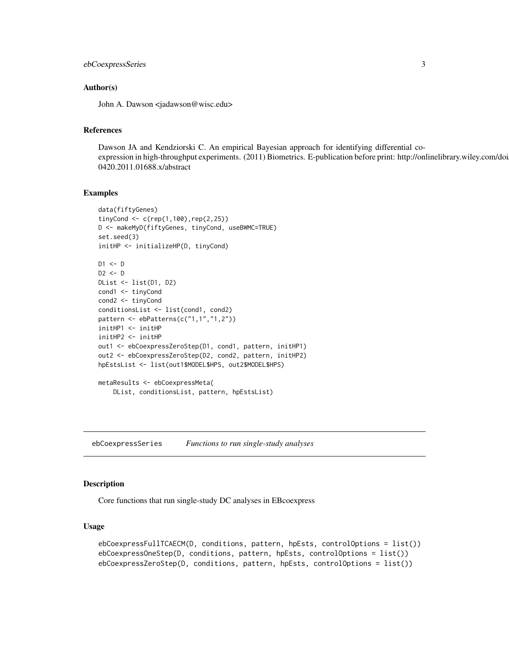### <span id="page-2-0"></span>ebCoexpressSeries 3

#### Author(s)

John A. Dawson <jadawson@wisc.edu>

### References

Dawson JA and Kendziorski C. An empirical Bayesian approach for identifying differential coexpression in high-throughput experiments. (2011) Biometrics. E-publication before print: http://onlinelibrary.wiley.com/doi 0420.2011.01688.x/abstract

#### Examples

```
data(fiftyGenes)
tinyCond <- c(rep(1,100),rep(2,25))
D <- makeMyD(fiftyGenes, tinyCond, useBWMC=TRUE)
set.seed(3)
initHP <- initializeHP(D, tinyCond)
D1 \le -DD2 \le - DDList <- list(D1, D2)
cond1 <- tinyCond
cond2 <- tinyCond
conditionsList <- list(cond1, cond2)
pattern <- ebPatterns(c("1,1","1,2"))
initHP1 <- initHP
initHP2 <- initHP
out1 <- ebCoexpressZeroStep(D1, cond1, pattern, initHP1)
out2 <- ebCoexpressZeroStep(D2, cond2, pattern, initHP2)
hpEstsList <- list(out1$MODEL$HPS, out2$MODEL$HPS)
metaResults <- ebCoexpressMeta(
   DList, conditionsList, pattern, hpEstsList)
```
ebCoexpressSeries *Functions to run single-study analyses*

#### Description

Core functions that run single-study DC analyses in EBcoexpress

#### Usage

```
ebCoexpressFullTCAECM(D, conditions, pattern, hpEsts, controlOptions = list())
ebCoexpressOneStep(D, conditions, pattern, hpEsts, controlOptions = list())
ebCoexpressZeroStep(D, conditions, pattern, hpEsts, controlOptions = list())
```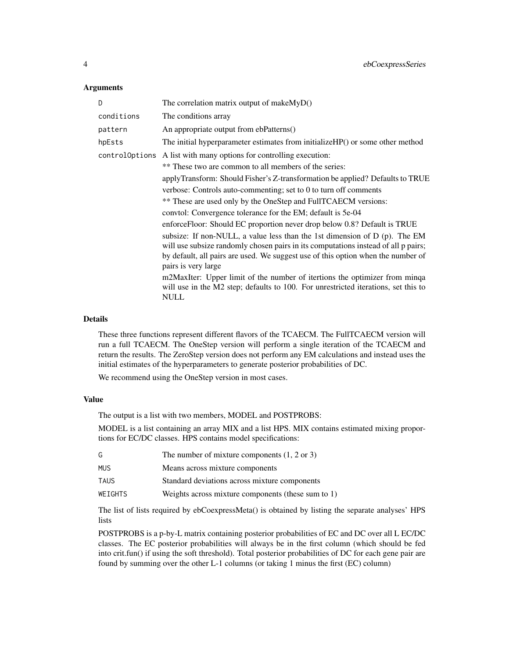#### Arguments

| D              | The correlation matrix output of make $MyD()$                                                                                                                                                                                                                               |
|----------------|-----------------------------------------------------------------------------------------------------------------------------------------------------------------------------------------------------------------------------------------------------------------------------|
| conditions     | The conditions array                                                                                                                                                                                                                                                        |
| pattern        | An appropriate output from ebPatterns()                                                                                                                                                                                                                                     |
| hpEsts         | The initial hyperparameter estimates from initializeHP() or some other method                                                                                                                                                                                               |
| controlOptions | A list with many options for controlling execution:                                                                                                                                                                                                                         |
|                | ** These two are common to all members of the series:                                                                                                                                                                                                                       |
|                | applyTransform: Should Fisher's Z-transformation be applied? Defaults to TRUE                                                                                                                                                                                               |
|                | verbose: Controls auto-commenting; set to 0 to turn off comments                                                                                                                                                                                                            |
|                | ** These are used only by the OneStep and FullTCAECM versions:                                                                                                                                                                                                              |
|                | convtol: Convergence tolerance for the EM; default is 5e-04                                                                                                                                                                                                                 |
|                | enforceFloor: Should EC proportion never drop below 0.8? Default is TRUE                                                                                                                                                                                                    |
|                | subsize: If non-NULL, a value less than the 1st dimension of D (p). The EM<br>will use subsize randomly chosen pairs in its computations instead of all p pairs;<br>by default, all pairs are used. We suggest use of this option when the number of<br>pairs is very large |
|                | m2MaxIter: Upper limit of the number of itertions the optimizer from minga<br>will use in the M2 step; defaults to 100. For unrestricted iterations, set this to<br><b>NULL</b>                                                                                             |

#### Details

These three functions represent different flavors of the TCAECM. The FullTCAECM version will run a full TCAECM. The OneStep version will perform a single iteration of the TCAECM and return the results. The ZeroStep version does not perform any EM calculations and instead uses the initial estimates of the hyperparameters to generate posterior probabilities of DC.

We recommend using the OneStep version in most cases.

#### Value

The output is a list with two members, MODEL and POSTPROBS:

MODEL is a list containing an array MIX and a list HPS. MIX contains estimated mixing proportions for EC/DC classes. HPS contains model specifications:

| G.         | The number of mixture components $(1, 2 \text{ or } 3)$ |
|------------|---------------------------------------------------------|
| <b>MUS</b> | Means across mixture components                         |
| TAUS       | Standard deviations across mixture components           |
| WEIGHTS    | Weights across mixture components (these sum to $1$ )   |

The list of lists required by ebCoexpressMeta() is obtained by listing the separate analyses' HPS lists

POSTPROBS is a p-by-L matrix containing posterior probabilities of EC and DC over all L EC/DC classes. The EC posterior probabilities will always be in the first column (which should be fed into crit.fun() if using the soft threshold). Total posterior probabilities of DC for each gene pair are found by summing over the other L-1 columns (or taking 1 minus the first (EC) column)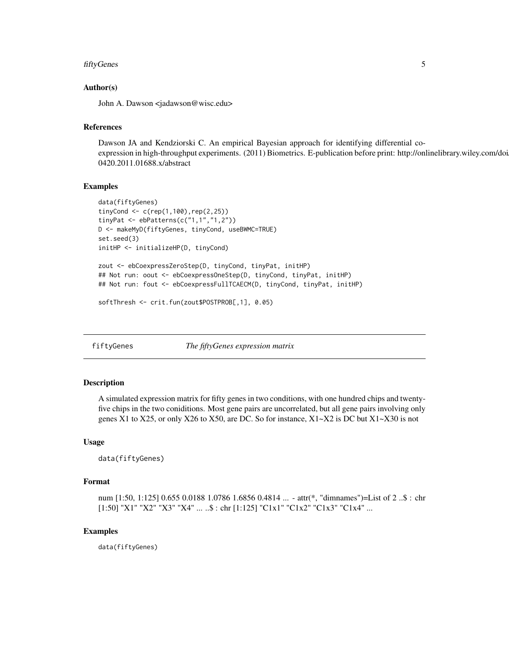### <span id="page-4-0"></span>fiftyGenes 5

#### Author(s)

John A. Dawson <jadawson@wisc.edu>

#### References

Dawson JA and Kendziorski C. An empirical Bayesian approach for identifying differential coexpression in high-throughput experiments. (2011) Biometrics. E-publication before print: http://onlinelibrary.wiley.com/doi 0420.2011.01688.x/abstract

#### Examples

```
data(fiftyGenes)
tinyCond <- c(rep(1,100), rep(2,25))tinyPat <- ebPatterns(c("1,1","1,2"))
D <- makeMyD(fiftyGenes, tinyCond, useBWMC=TRUE)
set.seed(3)
initHP <- initializeHP(D, tinyCond)
zout <- ebCoexpressZeroStep(D, tinyCond, tinyPat, initHP)
## Not run: oout <- ebCoexpressOneStep(D, tinyCond, tinyPat, initHP)
## Not run: fout <- ebCoexpressFullTCAECM(D, tinyCond, tinyPat, initHP)
```
softThresh <- crit.fun(zout\$POSTPROB[,1], 0.05)

fiftyGenes *The fiftyGenes expression matrix*

#### Description

A simulated expression matrix for fifty genes in two conditions, with one hundred chips and twentyfive chips in the two coniditions. Most gene pairs are uncorrelated, but all gene pairs involving only genes X1 to X25, or only X26 to X50, are DC. So for instance,  $X1 \sim X2$  is DC but  $X1 \sim X30$  is not

#### Usage

data(fiftyGenes)

#### Format

num [1:50, 1:125] 0.655 0.0188 1.0786 1.6856 0.4814 ... - attr(\*, "dimnames")=List of 2 ..\$ : chr [1:50] "X1" "X2" "X3" "X4" ... ..\$ : chr [1:125] "C1x1" "C1x2" "C1x3" "C1x4" ...

#### Examples

data(fiftyGenes)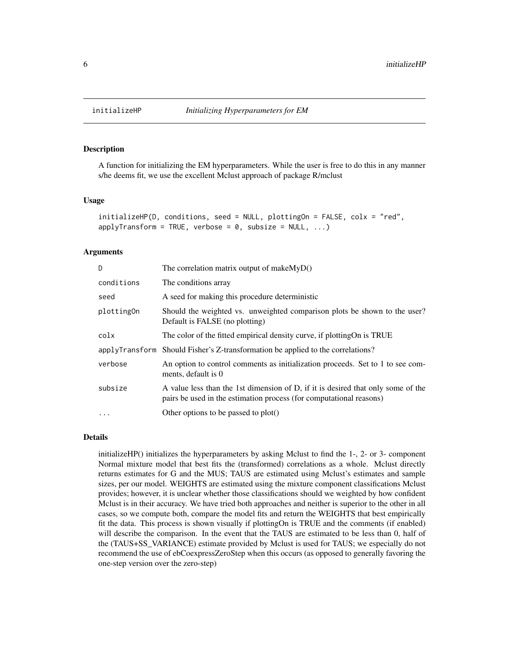<span id="page-5-0"></span>

#### **Description**

A function for initializing the EM hyperparameters. While the user is free to do this in any manner s/he deems fit, we use the excellent Mclust approach of package R/mclust

#### Usage

```
initializeHP(D, conditions, seed = NULL, plottingOn = FALSE, colx = "red",
applyTransform = TRUE, verbose = 0, subsize = NULL, ...)
```
#### Arguments

| D          | The correlation matrix output of makeMyD()                                                                                                              |
|------------|---------------------------------------------------------------------------------------------------------------------------------------------------------|
| conditions | The conditions array                                                                                                                                    |
| seed       | A seed for making this procedure deterministic                                                                                                          |
| plottingOn | Should the weighted vs. unweighted comparison plots be shown to the user?<br>Default is FALSE (no plotting)                                             |
| colx       | The color of the fitted empirical density curve, if plotting On is TRUE                                                                                 |
|            | applyTransform Should Fisher's Z-transformation be applied to the correlations?                                                                         |
| verbose    | An option to control comments as initialization proceeds. Set to 1 to see com-<br>ments, default is 0                                                   |
| subsize    | A value less than the 1st dimension of D, if it is desired that only some of the<br>pairs be used in the estimation process (for computational reasons) |
| $\cdot$    | Other options to be passed to plot()                                                                                                                    |

#### Details

initializeHP() initializes the hyperparameters by asking Mclust to find the 1-, 2- or 3- component Normal mixture model that best fits the (transformed) correlations as a whole. Mclust directly returns estimates for G and the MUS; TAUS are estimated using Mclust's estimates and sample sizes, per our model. WEIGHTS are estimated using the mixture component classifications Mclust provides; however, it is unclear whether those classifications should we weighted by how confident Mclust is in their accuracy. We have tried both approaches and neither is superior to the other in all cases, so we compute both, compare the model fits and return the WEIGHTS that best empirically fit the data. This process is shown visually if plottingOn is TRUE and the comments (if enabled) will describe the comparison. In the event that the TAUS are estimated to be less than 0, half of the (TAUS+SS\_VARIANCE) estimate provided by Mclust is used for TAUS; we especially do not recommend the use of ebCoexpressZeroStep when this occurs (as opposed to generally favoring the one-step version over the zero-step)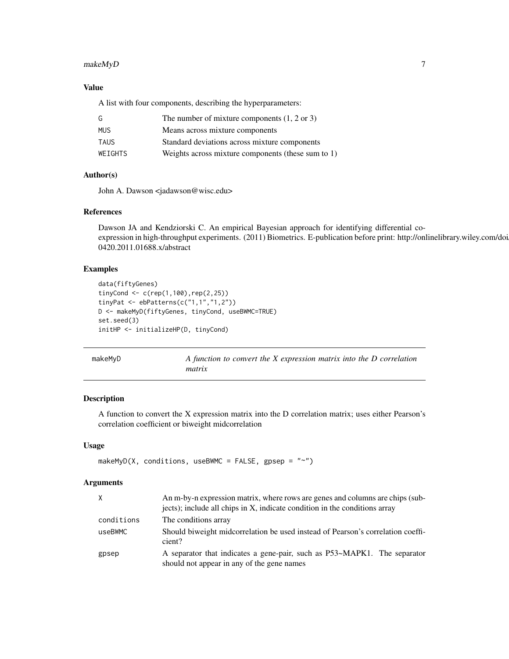### <span id="page-6-0"></span>makeMyD 7

#### Value

A list with four components, describing the hyperparameters:

| G           | The number of mixture components $(1, 2 \text{ or } 3)$ |
|-------------|---------------------------------------------------------|
| <b>MUS</b>  | Means across mixture components                         |
| <b>TAUS</b> | Standard deviations across mixture components           |
| WEIGHTS     | Weights across mixture components (these sum to 1)      |

#### Author(s)

John A. Dawson <jadawson@wisc.edu>

#### References

Dawson JA and Kendziorski C. An empirical Bayesian approach for identifying differential coexpression in high-throughput experiments. (2011) Biometrics. E-publication before print: http://onlinelibrary.wiley.com/doi 0420.2011.01688.x/abstract

#### Examples

```
data(fiftyGenes)
tinyCond <- c(rep(1,100),rep(2,25))
tinyPat <- ebPatterns(c("1,1","1,2"))
D <- makeMyD(fiftyGenes, tinyCond, useBWMC=TRUE)
set.seed(3)
initHP <- initializeHP(D, tinyCond)
```
makeMyD *A function to convert the X expression matrix into the D correlation matrix*

### Description

A function to convert the X expression matrix into the D correlation matrix; uses either Pearson's correlation coefficient or biweight midcorrelation

#### Usage

```
makeMyD(X, conditions, useBWMC = FALSE, gpsep = "~
```
#### **Arguments**

| X          | An m-by-n expression matrix, where rows are genes and columns are chips (sub-<br>jects); include all chips in X, indicate condition in the conditions array |
|------------|-------------------------------------------------------------------------------------------------------------------------------------------------------------|
| conditions | The conditions array                                                                                                                                        |
| useBWMC    | Should biweight midcorrelation be used instead of Pearson's correlation coeffi-<br>cient?                                                                   |
| gpsep      | A separator that indicates a gene-pair, such as P53~MAPK1. The separator<br>should not appear in any of the gene names                                      |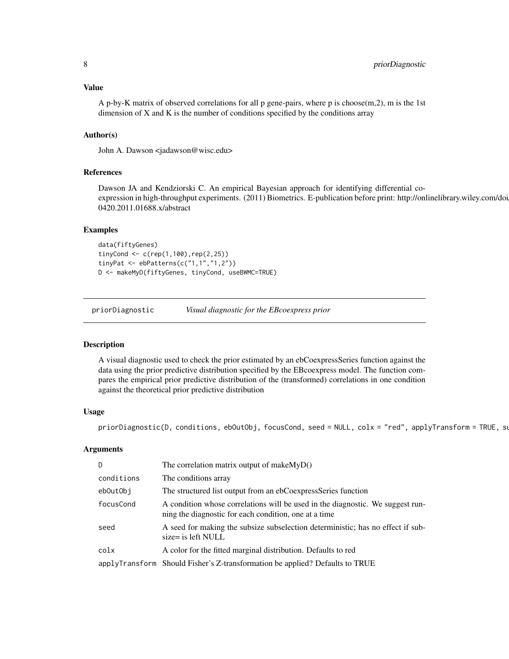<span id="page-7-0"></span>A p-by-K matrix of observed correlations for all p gene-pairs, where p is choose(m,2), m is the 1st dimension of  $X$  and  $K$  is the number of conditions specified by the conditions array

#### Author(s)

John A. Dawson <jadawson@wisc.edu>

#### References

Dawson JA and Kendziorski C. An empirical Bayesian approach for identifying differential coexpression in high-throughput experiments. (2011) Biometrics. E-publication before print: http://onlinelibrary.wiley.com/doi 0420.2011.01688.x/abstract

#### Examples

```
data(fiftyGenes)
tinyCond <- c(rep(1,100),rep(2,25))
tinyPat <- ebPatterns(c("1,1","1,2"))
D <- makeMyD(fiftyGenes, tinyCond, useBWMC=TRUE)
```
priorDiagnostic *Visual diagnostic for the EBcoexpress prior*

#### Description

A visual diagnostic used to check the prior estimated by an ebCoexpressSeries function against the data using the prior predictive distribution specified by the EBcoexpress model. The function compares the empirical prior predictive distribution of the (transformed) correlations in one condition against the theoretical prior predictive distribution

#### Usage

priorDiagnostic(D, conditions, ebOutObj, focusCond, seed = NULL, colx = "red", applyTransform = TRUE, su

#### Arguments

| D          | The correlation matrix output of make $MyD()$                                                                                           |
|------------|-----------------------------------------------------------------------------------------------------------------------------------------|
| conditions | The conditions array                                                                                                                    |
| ebOutObj   | The structured list output from an ebCoexpressSeries function                                                                           |
| focusCond  | A condition whose correlations will be used in the diagnostic. We suggest run-<br>ning the diagnostic for each condition, one at a time |
| seed       | A seed for making the subsize subselection deterministic; has no effect if sub-<br>size= is left NULL                                   |
| colx       | A color for the fitted marginal distribution. Defaults to red                                                                           |
|            | applyTransform Should Fisher's Z-transformation be applied? Defaults to TRUE                                                            |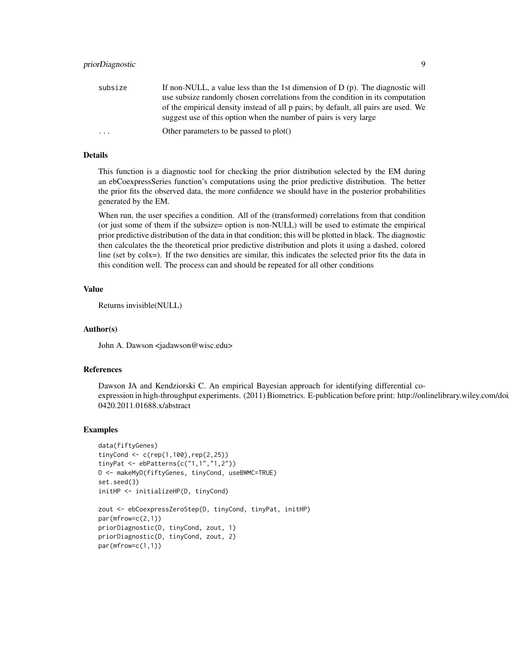| subsize                 | If non-NULL, a value less than the 1st dimension of $D(p)$ . The diagnostic will    |
|-------------------------|-------------------------------------------------------------------------------------|
|                         | use subsize randomly chosen correlations from the condition in its computation      |
|                         | of the empirical density instead of all p pairs; by default, all pairs are used. We |
|                         | suggest use of this option when the number of pairs is very large                   |
| $\cdot$ $\cdot$ $\cdot$ | Other parameters to be passed to plot()                                             |
|                         |                                                                                     |

#### Details

This function is a diagnostic tool for checking the prior distribution selected by the EM during an ebCoexpressSeries function's computations using the prior predictive distribution. The better the prior fits the observed data, the more confidence we should have in the posterior probabilities generated by the EM.

When run, the user specifies a condition. All of the (transformed) correlations from that condition (or just some of them if the subsize= option is non-NULL) will be used to estimate the empirical prior predictive distribution of the data in that condition; this will be plotted in black. The diagnostic then calculates the the theoretical prior predictive distribution and plots it using a dashed, colored line (set by colx=). If the two densities are similar, this indicates the selected prior fits the data in this condition well. The process can and should be repeated for all other conditions

#### Value

Returns invisible(NULL)

#### Author(s)

John A. Dawson <jadawson@wisc.edu>

#### References

Dawson JA and Kendziorski C. An empirical Bayesian approach for identifying differential coexpression in high-throughput experiments. (2011) Biometrics. E-publication before print: http://onlinelibrary.wiley.com/doi 0420.2011.01688.x/abstract

#### Examples

```
data(fiftyGenes)
tinyCond <- c(rep(1,100),rep(2,25))
tinyPat <- ebPatterns(c("1,1","1,2"))
D <- makeMyD(fiftyGenes, tinyCond, useBWMC=TRUE)
set.seed(3)
initHP <- initializeHP(D, tinyCond)
zout <- ebCoexpressZeroStep(D, tinyCond, tinyPat, initHP)
par(mfrow=c(2,1))
priorDiagnostic(D, tinyCond, zout, 1)
priorDiagnostic(D, tinyCond, zout, 2)
par(mfrow=c(1,1))
```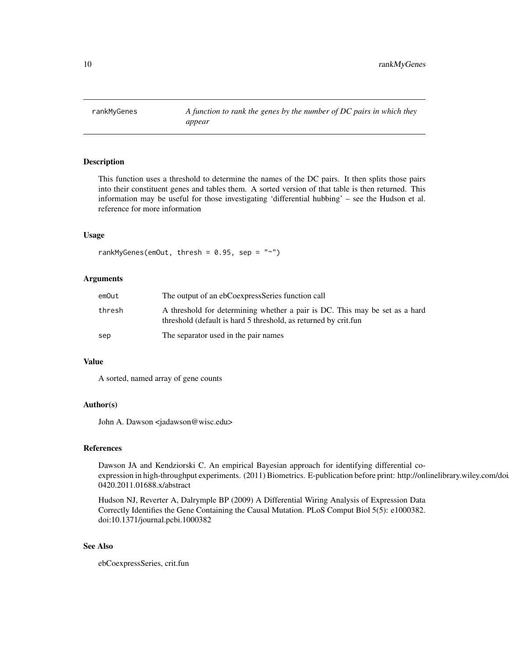<span id="page-9-0"></span>rankMyGenes *A function to rank the genes by the number of DC pairs in which they appear*

#### Description

This function uses a threshold to determine the names of the DC pairs. It then splits those pairs into their constituent genes and tables them. A sorted version of that table is then returned. This information may be useful for those investigating 'differential hubbing' – see the Hudson et al. reference for more information

#### Usage

rankMyGenes(emOut, thresh =  $0.95$ , sep = "~")

#### Arguments

| emOut  | The output of an ebCoexpressSeries function call                                                                                               |
|--------|------------------------------------------------------------------------------------------------------------------------------------------------|
| thresh | A threshold for determining whether a pair is DC. This may be set as a hard<br>threshold (default is hard 5 threshold, as returned by crit.fun |
| sep    | The separator used in the pair names                                                                                                           |

#### Value

A sorted, named array of gene counts

#### Author(s)

John A. Dawson <jadawson@wisc.edu>

#### References

Dawson JA and Kendziorski C. An empirical Bayesian approach for identifying differential coexpression in high-throughput experiments. (2011) Biometrics. E-publication before print: http://onlinelibrary.wiley.com/doi 0420.2011.01688.x/abstract

Hudson NJ, Reverter A, Dalrymple BP (2009) A Differential Wiring Analysis of Expression Data Correctly Identifies the Gene Containing the Causal Mutation. PLoS Comput Biol 5(5): e1000382. doi:10.1371/journal.pcbi.1000382

#### See Also

ebCoexpressSeries, crit.fun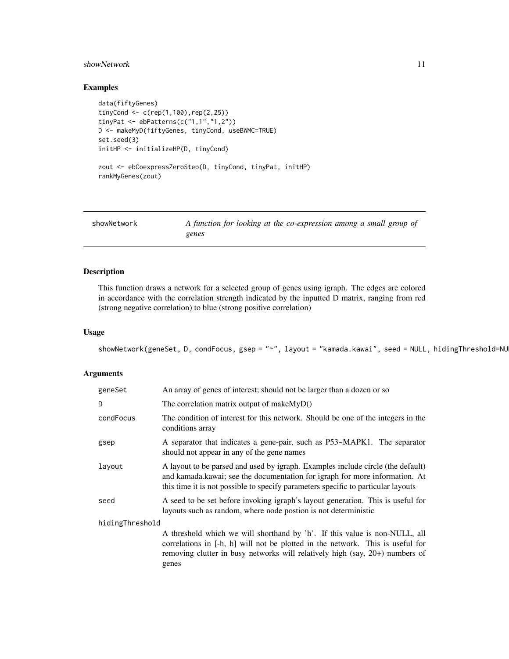#### <span id="page-10-0"></span>showNetwork 11

#### Examples

```
data(fiftyGenes)
tinyCond <- c(rep(1,100),rep(2,25))
tinyPat <- ebPatterns(c("1,1","1,2"))
D <- makeMyD(fiftyGenes, tinyCond, useBWMC=TRUE)
set.seed(3)
initHP <- initializeHP(D, tinyCond)
zout <- ebCoexpressZeroStep(D, tinyCond, tinyPat, initHP)
rankMyGenes(zout)
```

| showNetwork | A function for looking at the co-expression among a small group of |
|-------------|--------------------------------------------------------------------|
|             | genes                                                              |

### **Description**

This function draws a network for a selected group of genes using igraph. The edges are colored in accordance with the correlation strength indicated by the inputted D matrix, ranging from red (strong negative correlation) to blue (strong positive correlation)

#### Usage

```
showNetwork(geneSet, D, condFocus, gsep = "~", layout = "kamada.kawai", seed = NULL, hidingThreshold=NU
```
#### Arguments

| geneSet         | An array of genes of interest; should not be larger than a dozen or so                                                                                                                                                                                |  |
|-----------------|-------------------------------------------------------------------------------------------------------------------------------------------------------------------------------------------------------------------------------------------------------|--|
| D               | The correlation matrix output of make $MyD()$                                                                                                                                                                                                         |  |
| condFocus       | The condition of interest for this network. Should be one of the integers in the<br>conditions array                                                                                                                                                  |  |
| gsep            | A separator that indicates a gene-pair, such as P53~MAPK1. The separator<br>should not appear in any of the gene names                                                                                                                                |  |
| layout          | A layout to be parsed and used by igraph. Examples include circle (the default)<br>and kamada. kawai; see the documentation for igraph for more information. At<br>this time it is not possible to specify parameters specific to particular layouts  |  |
| seed            | A seed to be set before invoking igraph's layout generation. This is useful for<br>layouts such as random, where node postion is not deterministic                                                                                                    |  |
| hidingThreshold |                                                                                                                                                                                                                                                       |  |
|                 | A threshold which we will shorthand by 'h'. If this value is non-NULL, all<br>correlations in [-h, h] will not be plotted in the network. This is useful for<br>removing clutter in busy networks will relatively high (say, 20+) numbers of<br>genes |  |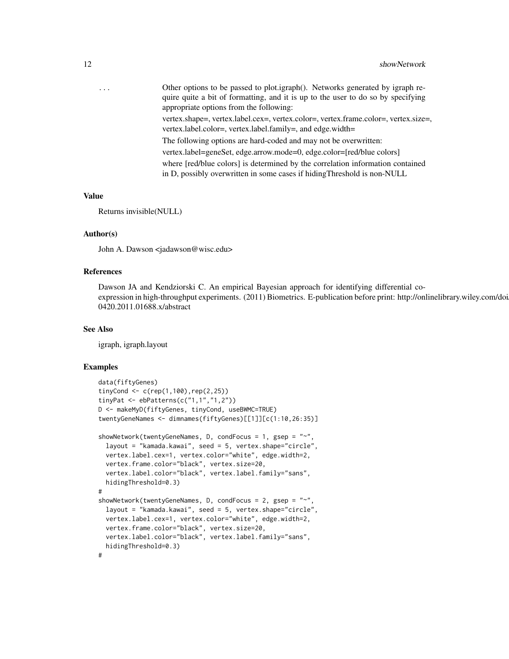| $\cdots$ | Other options to be passed to plot.igraph(). Networks generated by igraph re-<br>quire quite a bit of formatting, and it is up to the user to do so by specifying<br>appropriate options from the following: |
|----------|--------------------------------------------------------------------------------------------------------------------------------------------------------------------------------------------------------------|
|          | vertex.shape=, vertex.label.cex=, vertex.color=, vertex.frame.color=, vertex.size=,<br>vertex.label.color=, vertex.label.family=, and edge.width=                                                            |
|          | The following options are hard-coded and may not be overwritten:                                                                                                                                             |
|          | vertex.label=geneSet, edge.arrow.mode=0, edge.color=[red/blue colors]                                                                                                                                        |
|          | where [red/blue colors] is determined by the correlation information contained<br>in D, possibly overwritten in some cases if hiding Threshold is non-NULL                                                   |

#### Value

Returns invisible(NULL)

#### Author(s)

John A. Dawson <jadawson@wisc.edu>

#### References

Dawson JA and Kendziorski C. An empirical Bayesian approach for identifying differential coexpression in high-throughput experiments. (2011) Biometrics. E-publication before print: http://onlinelibrary.wiley.com/doi 0420.2011.01688.x/abstract

#### See Also

igraph, igraph.layout

#### Examples

```
data(fiftyGenes)
tinyCond <- c(rep(1,100),rep(2,25))
tinyPat <- ebPatterns(c("1,1","1,2"))
D <- makeMyD(fiftyGenes, tinyCond, useBWMC=TRUE)
twentyGeneNames <- dimnames(fiftyGenes)[[1]][c(1:10,26:35)]
showNetwork(twentyGeneNames, D, condFocus = 1, gsep = "~",
 layout = "kamada.kawai", seed = 5, vertex.shape="circle",
 vertex.label.cex=1, vertex.color="white", edge.width=2,
 vertex.frame.color="black", vertex.size=20,
 vertex.label.color="black", vertex.label.family="sans",
 hidingThreshold=0.3)
#
showNetwork(twentyGeneNames, D, condFocus = 2, gsep = "~",
 layout = "kamada.kawai", seed = 5, vertex.shape="circle",
 vertex.label.cex=1, vertex.color="white", edge.width=2,
 vertex.frame.color="black", vertex.size=20,
 vertex.label.color="black", vertex.label.family="sans",
 hidingThreshold=0.3)
#
```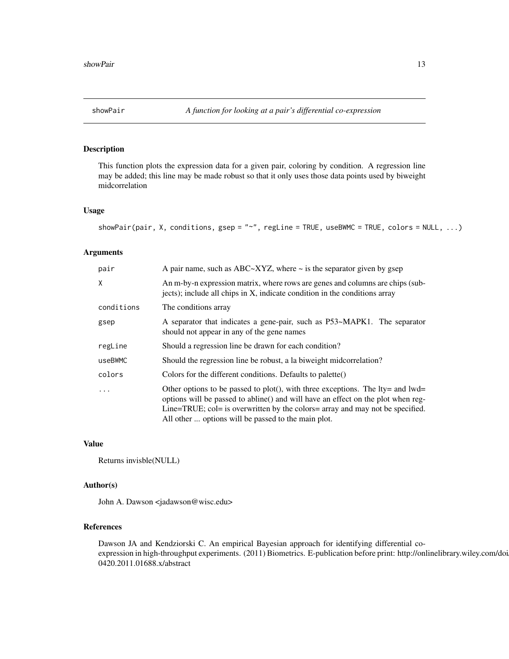<span id="page-12-0"></span>

#### Description

This function plots the expression data for a given pair, coloring by condition. A regression line may be added; this line may be made robust so that it only uses those data points used by biweight midcorrelation

#### Usage

```
showPair(pair, X, conditions, gsep = "~", regLine = TRUE, useBWMC = TRUE, colors = NULL, ...)
```
#### Arguments

| pair       | A pair name, such as ABC $\sim$ XYZ, where $\sim$ is the separator given by gsep                                                                                                                                                                                                                                 |
|------------|------------------------------------------------------------------------------------------------------------------------------------------------------------------------------------------------------------------------------------------------------------------------------------------------------------------|
| X          | An m-by-n expression matrix, where rows are genes and columns are chips (sub-<br>jects); include all chips in X, indicate condition in the conditions array                                                                                                                                                      |
| conditions | The conditions array                                                                                                                                                                                                                                                                                             |
| gsep       | A separator that indicates a gene-pair, such as P53~MAPK1. The separator<br>should not appear in any of the gene names                                                                                                                                                                                           |
| regLine    | Should a regression line be drawn for each condition?                                                                                                                                                                                                                                                            |
| useBWMC    | Should the regression line be robust, a la biweight midcorrelation?                                                                                                                                                                                                                                              |
| colors     | Colors for the different conditions. Defaults to palette()                                                                                                                                                                                                                                                       |
| $\ddots$   | Other options to be passed to plot(), with three exceptions. The $lty =$ and $lwd =$<br>options will be passed to abline() and will have an effect on the plot when reg-<br>Line=TRUE; col= is overwritten by the colors= array and may not be specified.<br>All other  options will be passed to the main plot. |

#### Value

Returns invisble(NULL)

#### Author(s)

John A. Dawson <jadawson@wisc.edu>

#### References

Dawson JA and Kendziorski C. An empirical Bayesian approach for identifying differential coexpression in high-throughput experiments. (2011) Biometrics. E-publication before print: http://onlinelibrary.wiley.com/doi 0420.2011.01688.x/abstract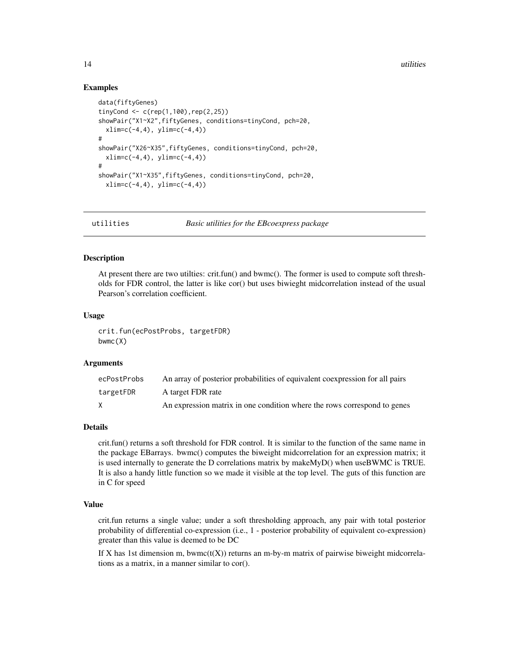<span id="page-13-0"></span>14 utilities

#### Examples

```
data(fiftyGenes)
tinyCond \leq c (rep(1,100), rep(2,25))
showPair("X1~X2",fiftyGenes, conditions=tinyCond, pch=20,
 xlim=c(-4,4), ylim=c(-4,4))#
showPair("X26~X35",fiftyGenes, conditions=tinyCond, pch=20,
 xlim=c(-4,4), ylim=c(-4,4))
#
showPair("X1~X35",fiftyGenes, conditions=tinyCond, pch=20,
 xlim=c(-4,4), ylim=c(-4,4))
```
utilities *Basic utilities for the EBcoexpress package*

#### Description

At present there are two utilties: crit.fun() and bwmc(). The former is used to compute soft thresholds for FDR control, the latter is like cor() but uses biwieght midcorrelation instead of the usual Pearson's correlation coefficient.

#### Usage

crit.fun(ecPostProbs, targetFDR) bwmc(X)

#### Arguments

| ecPostProbs | An array of posterior probabilities of equivalent coexpression for all pairs |
|-------------|------------------------------------------------------------------------------|
| targetFDR   | A target FDR rate                                                            |
|             | An expression matrix in one condition where the rows correspond to genes     |

#### Details

crit.fun() returns a soft threshold for FDR control. It is similar to the function of the same name in the package EBarrays. bwmc() computes the biweight midcorrelation for an expression matrix; it is used internally to generate the D correlations matrix by makeMyD() when useBWMC is TRUE. It is also a handy little function so we made it visible at the top level. The guts of this function are in C for speed

#### Value

crit.fun returns a single value; under a soft thresholding approach, any pair with total posterior probability of differential co-expression (i.e., 1 - posterior probability of equivalent co-expression) greater than this value is deemed to be DC

If X has 1st dimension m, bwmc $(t(X))$  returns an m-by-m matrix of pairwise biweight midcorrelations as a matrix, in a manner similar to cor().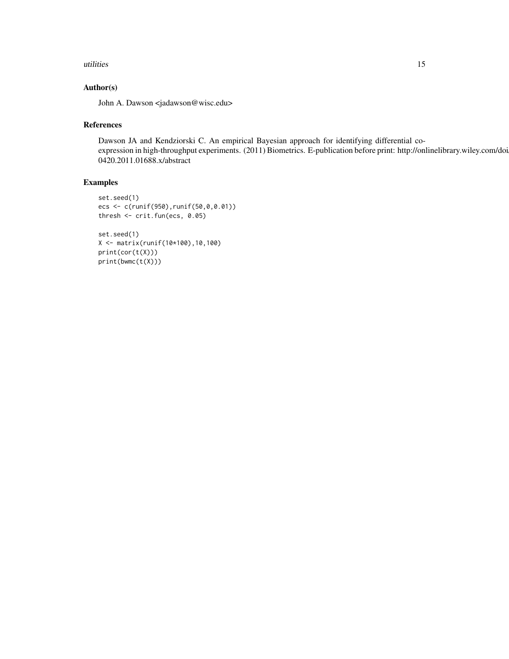#### utilities and the contract of the contract of the contract of the contract of the contract of the contract of the contract of the contract of the contract of the contract of the contract of the contract of the contract of

#### Author(s)

John A. Dawson <jadawson@wisc.edu>

#### References

Dawson JA and Kendziorski C. An empirical Bayesian approach for identifying differential coexpression in high-throughput experiments. (2011) Biometrics. E-publication before print: http://onlinelibrary.wiley.com/doi 0420.2011.01688.x/abstract

### Examples

```
set.seed(1)
ecs <- c(runif(950),runif(50,0,0.01))
thresh <- crit.fun(ecs, 0.05)
set.seed(1)
X <- matrix(runif(10*100),10,100)
print(cor(t(X)))
print(bwmc(t(X)))
```